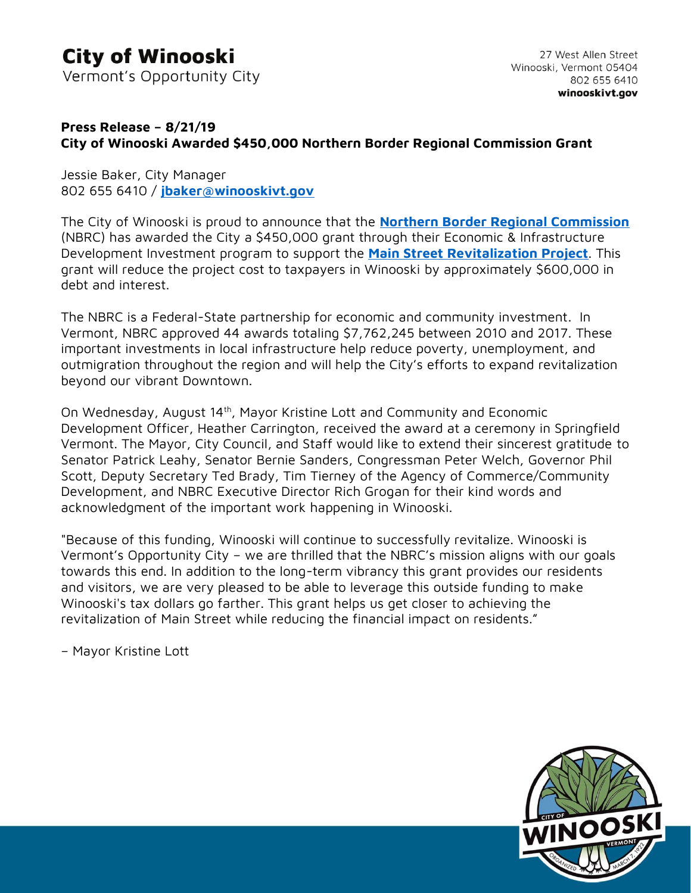## **City of Winooski**

Vermont's Opportunity City

## **Press Release – 8/21/19 City of Winooski Awarded \$450,000 Northern Border Regional Commission Grant**

Jessie Baker, City Manager 802 655 6410 / **[jbaker@winooskivt.gov](mailto:jbaker@winooskivt.gov)**

The City of Winooski is proud to announce that the **[Northern Border Regional Commission](http://www.nbrc.gov/)** (NBRC) has awarded the City a \$450,000 grant through their Economic & Infrastructure Development Investment program to support the **[Main Street Revitalization Project](https://www.winooskivt.gov/187/Main-Street-Revitalization)**. This grant will reduce the project cost to taxpayers in Winooski by approximately \$600,000 in debt and interest.

The NBRC is a Federal-State partnership for economic and community investment. In Vermont, NBRC approved 44 awards totaling \$7,762,245 between 2010 and 2017. These important investments in local infrastructure help reduce poverty, unemployment, and outmigration throughout the region and will help the City's efforts to expand revitalization beyond our vibrant Downtown.

On Wednesday, August 14th, Mayor Kristine Lott and Community and Economic Development Officer, Heather Carrington, received the award at a ceremony in Springfield Vermont. The Mayor, City Council, and Staff would like to extend their sincerest gratitude to Senator Patrick Leahy, Senator Bernie Sanders, Congressman Peter Welch, Governor Phil Scott, Deputy Secretary Ted Brady, Tim Tierney of the Agency of Commerce/Community Development, and NBRC Executive Director Rich Grogan for their kind words and acknowledgment of the important work happening in Winooski.

"Because of this funding, Winooski will continue to successfully revitalize. Winooski is Vermont's Opportunity City – we are thrilled that the NBRC's mission aligns with our goals towards this end. In addition to the long-term vibrancy this grant provides our residents and visitors, we are very pleased to be able to leverage this outside funding to make Winooski's tax dollars go farther. This grant helps us get closer to achieving the revitalization of Main Street while reducing the financial impact on residents."

– Mayor Kristine Lott